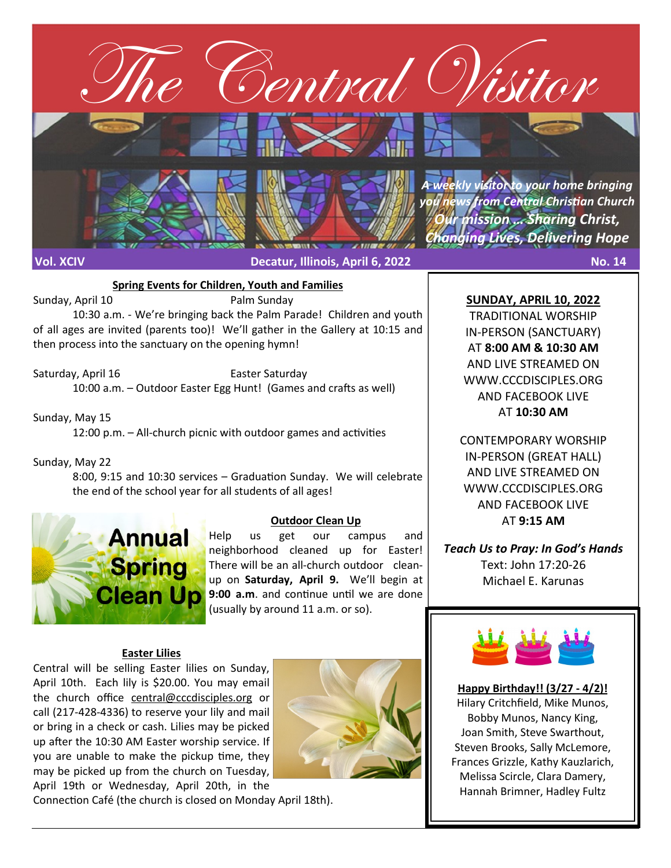

**Spring Events for Children, Youth and Families**

Sunday, April 10 Palm Sunday 10:30 a.m. - We're bringing back the Palm Parade! Children and youth of all ages are invited (parents too)! We'll gather in the Gallery at 10:15 and then process into the sanctuary on the opening hymn!

Saturday, April 16 Easter Saturday 10:00 a.m. – Outdoor Easter Egg Hunt! (Games and crafts as well)

Sunday, May 15 12:00 p.m. – All-church picnic with outdoor games and activities

Sunday, May 22

8:00, 9:15 and 10:30 services – Graduation Sunday. We will celebrate the end of the school year for all students of all ages!



## **Outdoor Clean Up**

Help us get our campus and neighborhood cleaned up for Easter! There will be an all-church outdoor cleanup on **Saturday, April 9.** We'll begin at **Clean Up** 9:00 a.m. and continue until we are done (usually by around 11 a.m. or so).

### **Easter Lilies**

Central will be selling Easter lilies on Sunday, April 10th. Each lily is \$20.00. You may email the church office central@cccdisciples.org or call (217-428-4336) to reserve your lily and mail or bring in a check or cash. Lilies may be picked up after the 10:30 AM Easter worship service. If you are unable to make the pickup time, they may be picked up from the church on Tuesday, April 19th or Wednesday, April 20th, in the



Connection Café (the church is closed on Monday April 18th).

**SUNDAY, APRIL 10, 2022** TRADITIONAL WORSHIP

IN-PERSON (SANCTUARY) AT **8:00 AM & 10:30 AM**  AND LIVE STREAMED ON WWW.CCCDISCIPLES.ORG AND FACEBOOK LIVE AT **10:30 AM**

CONTEMPORARY WORSHIP IN-PERSON (GREAT HALL) AND LIVE STREAMED ON WWW.CCCDISCIPLES.ORG AND FACEBOOK LIVE AT **9:15 AM**

*Teach Us to Pray: In God's Hands* Text: John 17:20-26 Michael E. Karunas



**Happy Birthday!! (3/27 - 4/2)!** Hilary Critchfield, Mike Munos, Bobby Munos, Nancy King, Joan Smith, Steve Swarthout, Steven Brooks, Sally McLemore, Frances Grizzle, Kathy Kauzlarich, Melissa Scircle, Clara Damery, Hannah Brimner, Hadley Fultz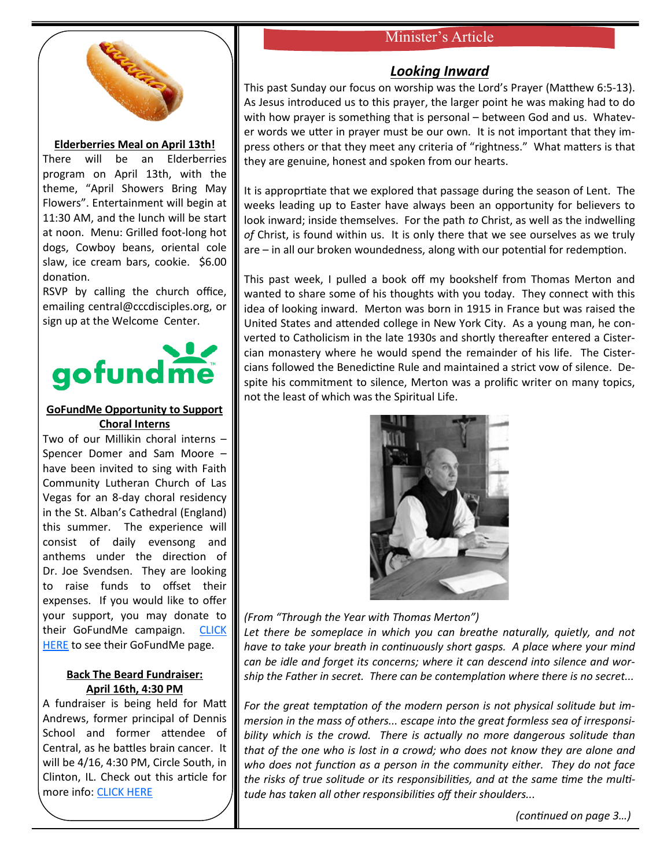# Minister's Article



**Elderberries Meal on April 13th!**

There will be an Elderberries program on April 13th, with the theme, "April Showers Bring May Flowers". Entertainment will begin at 11:30 AM, and the lunch will be start at noon. Menu: Grilled foot-long hot dogs, Cowboy beans, oriental cole slaw, ice cream bars, cookie. \$6.00 donation.

RSVP by calling the church office, emailing central@cccdisciples.org, or sign up at the Welcome Center.



## **GoFundMe Opportunity to Support Choral Interns**

Two of our Millikin choral interns – Spencer Domer and Sam Moore – have been invited to sing with Faith Community Lutheran Church of Las Vegas for an 8-day choral residency in the St. Alban's Cathedral (England) this summer. The experience will consist of daily evensong and anthems under the direction of Dr. Joe Svendsen. They are looking to raise funds to offset their expenses. If you would like to offer your support, you may donate to their GoFundMe campaign. [CLICK](https://www.gofundme.com/f/send-spencer-and-sam-to-england?qid=01d3f1b790aa8f35e89b0219d414889b)  [HERE](https://www.gofundme.com/f/send-spencer-and-sam-to-england?qid=01d3f1b790aa8f35e89b0219d414889b) to see their GoFundMe page.

## **Back The Beard Fundraiser: April 16th, 4:30 PM**

A fundraiser is being held for Matt Andrews, former principal of Dennis School and former attendee of Central, as he battles brain cancer. It will be 4/16, 4:30 PM, Circle South, in Clinton, IL. Check out this article for more info: [CLICK HERE](https://herald-review.com/news/local/education/back-the-beard-fundraiser-planned-for-former-dennis-school-principal/article_fc242821-c7db-55a3-8f71-31b726511fb9.html)

# *Looking Inward*

This past Sunday our focus on worship was the Lord's Prayer (Matthew 6:5-13). As Jesus introduced us to this prayer, the larger point he was making had to do with how prayer is something that is personal – between God and us. Whatever words we utter in prayer must be our own. It is not important that they impress others or that they meet any criteria of "rightness." What matters is that they are genuine, honest and spoken from our hearts.

It is approprtiate that we explored that passage during the season of Lent. The weeks leading up to Easter have always been an opportunity for believers to look inward; inside themselves. For the path *to* Christ, as well as the indwelling *of* Christ, is found within us. It is only there that we see ourselves as we truly are – in all our broken woundedness, along with our potential for redemption.

This past week, I pulled a book off my bookshelf from Thomas Merton and wanted to share some of his thoughts with you today. They connect with this idea of looking inward. Merton was born in 1915 in France but was raised the United States and attended college in New York City. As a young man, he converted to Catholicism in the late 1930s and shortly thereafter entered a Cistercian monastery where he would spend the remainder of his life. The Cistercians followed the Benedictine Rule and maintained a strict vow of silence. Despite his commitment to silence, Merton was a prolific writer on many topics, not the least of which was the Spiritual Life.



*(From "Through the Year with Thomas Merton")*

Let there be someplace in which you can breathe naturally, quietly, and not *have to take your breath in continuously short gasps. A place where your mind can be idle and forget its concerns; where it can descend into silence and worship the Father in secret. There can be contemplation where there is no secret...*

*For the great temptation of the modern person is not physical solitude but immersion in the mass of others... escape into the great formless sea of irresponsibility which is the crowd. There is actually no more dangerous solitude than that of the one who is lost in a crowd; who does not know they are alone and who does not function as a person in the community either. They do not face the risks of true solitude or its responsibilities, and at the same time the multitude has taken all other responsibilities off their shoulders...*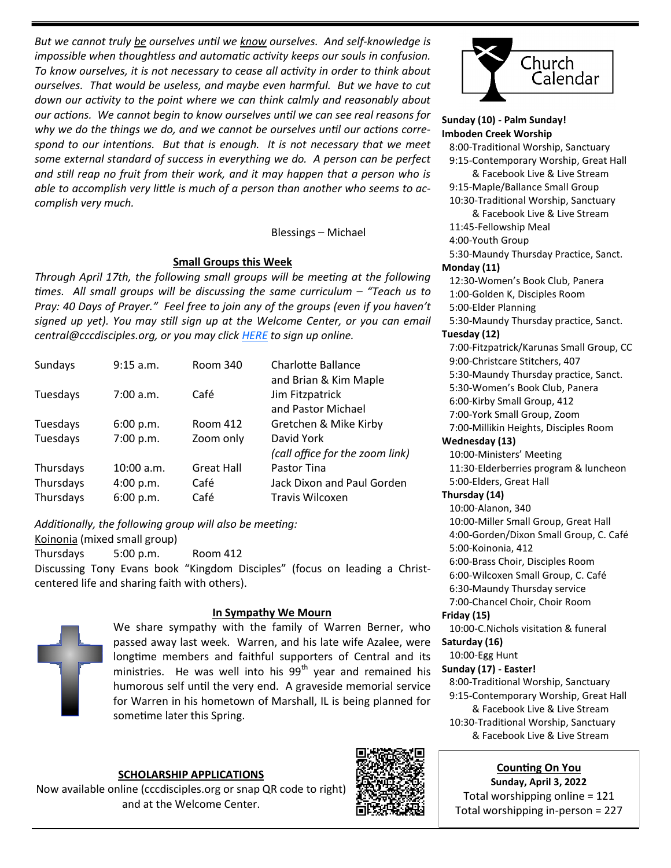*But we cannot truly be ourselves until we know ourselves. And self-knowledge is impossible when thoughtless and automatic activity keeps our souls in confusion. To know ourselves, it is not necessary to cease all activity in order to think about ourselves. That would be useless, and maybe even harmful. But we have to cut down our activity to the point where we can think calmly and reasonably about our actions. We cannot begin to know ourselves until we can see real reasons for why we do the things we do, and we cannot be ourselves until our actions correspond to our intentions. But that is enough. It is not necessary that we meet some external standard of success in everything we do. A person can be perfect and still reap no fruit from their work, and it may happen that a person who is able to accomplish very little is much of a person than another who seems to accomplish very much.* 

#### Blessings – Michael

#### **Small Groups this Week**

*Through April 17th, the following small groups will be meeting at the following times. All small groups will be discussing the same curriculum – "Teach us to Pray: 40 Days of Prayer." Feel free to join any of the groups (even if you haven't signed up yet). You may still sign up at the Welcome Center, or you can email central@cccdisciples.org, or you may click [HERE](https://cccdisciples.shelbynextchms.com/external/form/df15e8c1-5448-47e5-a185-f4aef9f7f43b) to sign up online.*

| Sundays   | 9:15 a.m.  | Room 340          | <b>Charlotte Ballance</b>                                      |
|-----------|------------|-------------------|----------------------------------------------------------------|
| Tuesdays  | 7:00 a.m.  | Café              | and Brian & Kim Maple<br>Jim Fitzpatrick<br>and Pastor Michael |
| Tuesdays  | 6:00 p.m.  | Room 412          | Gretchen & Mike Kirby                                          |
| Tuesdays  | 7:00 p.m.  | Zoom only         | David York                                                     |
|           |            |                   | (call office for the zoom link)                                |
| Thursdays | 10:00 a.m. | <b>Great Hall</b> | Pastor Tina                                                    |
| Thursdays | 4:00 p.m.  | Café              | Jack Dixon and Paul Gorden                                     |
| Thursdays | 6:00 p.m.  | Café              | Travis Wilcoxen                                                |

*Additionally, the following group will also be meeting:*

Koinonia (mixed small group)

Thursdays 5:00 p.m. Room 412 Discussing Tony Evans book "Kingdom Disciples" (focus on leading a Christcentered life and sharing faith with others).



### **In Sympathy We Mourn**

We share sympathy with the family of Warren Berner, who passed away last week. Warren, and his late wife Azalee, were longtime members and faithful supporters of Central and its ministries. He was well into his  $99<sup>th</sup>$  year and remained his humorous self until the very end. A graveside memorial service for Warren in his hometown of Marshall, IL is being planned for sometime later this Spring.

### **SCHOLARSHIP APPLICATIONS**

Now available online (cccdisciples.org or snap QR code to right) and at the Welcome Center.





## **Sunday (10) - Palm Sunday! Imboden Creek Worship**

 8:00-Traditional Worship, Sanctuary 9:15-Contemporary Worship, Great Hall

 & Facebook Live & Live Stream 9:15-Maple/Ballance Small Group 10:30-Traditional Worship, Sanctuary

 & Facebook Live & Live Stream 11:45-Fellowship Meal

4:00-Youth Group

 5:30-Maundy Thursday Practice, Sanct. **Monday (11)**

 12:30-Women's Book Club, Panera 1:00-Golden K, Disciples Room 5:00-Elder Planning

5:30-Maundy Thursday practice, Sanct.

#### **Tuesday (12)**

 7:00-Fitzpatrick/Karunas Small Group, CC 9:00-Christcare Stitchers, 407 5:30-Maundy Thursday practice, Sanct. 5:30-Women's Book Club, Panera 6:00-Kirby Small Group, 412 7:00-York Small Group, Zoom 7:00-Millikin Heights, Disciples Room

## **Wednesday (13)**

 10:00-Ministers' Meeting 11:30-Elderberries program & luncheon 5:00-Elders, Great Hall

### **Thursday (14)**

 10:00-Alanon, 340 10:00-Miller Small Group, Great Hall 4:00-Gorden/Dixon Small Group, C. Café 5:00-Koinonia, 412 6:00-Brass Choir, Disciples Room 6:00-Wilcoxen Small Group, C. Café 6:30-Maundy Thursday service 7:00-Chancel Choir, Choir Room

#### **Friday (15)**

10:00-C.Nichols visitation & funeral

## **Saturday (16)**

10:00-Egg Hunt

## **Sunday (17) - Easter!**

 8:00-Traditional Worship, Sanctuary 9:15-Contemporary Worship, Great Hall & Facebook Live & Live Stream 10:30-Traditional Worship, Sanctuary & Facebook Live & Live Stream

## **Counting On You**

**Sunday, April 3, 2022** Total worshipping online = 121 Total worshipping in-person = 227